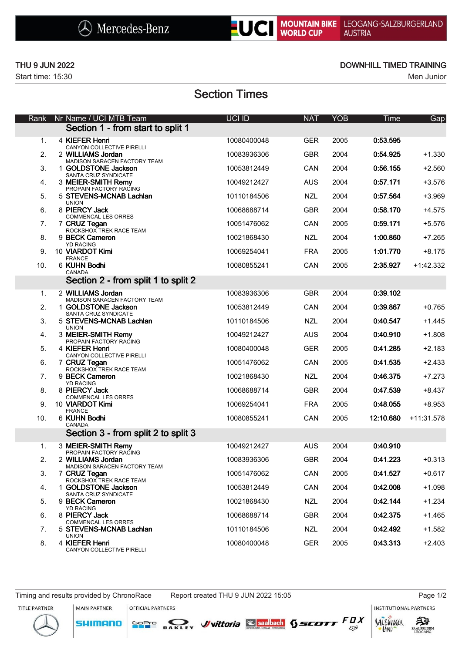



Start time: 15:30 Men Junior

### THU 9 JUN 2022 **DOWNHILL TIMED TRAINING**

# Section Times

| Rank | Nr Name / UCI MTB Team                                                | UCI ID      | <b>NAT</b> | <b>YOB</b> | <b>Time</b> | Gap         |
|------|-----------------------------------------------------------------------|-------------|------------|------------|-------------|-------------|
|      | Section 1 - from start to split 1                                     |             |            |            |             |             |
| 1.   | 4 KIEFER Henri<br>CANYON COLLECTIVE PIRELLI                           | 10080400048 | <b>GER</b> | 2005       | 0:53.595    |             |
| 2.   | 2 WILLIAMS Jordan<br>MADISON SARACEN FACTORY TEAM                     | 10083936306 | <b>GBR</b> | 2004       | 0:54.925    | $+1.330$    |
| 3.   | 1 GOLDSTONE Jackson<br>SANTA CRUZ SYNDICATE                           | 10053812449 | CAN        | 2004       | 0:56.155    | $+2.560$    |
| 4.   | 3 MEIER-SMITH Remy<br>PROPAIN FACTORY RACING                          | 10049212427 | <b>AUS</b> | 2004       | 0:57.171    | $+3.576$    |
| 5.   | 5 STEVENS-MCNAB Lachlan<br><b>UNION</b>                               | 10110184506 | <b>NZL</b> | 2004       | 0:57.564    | $+3.969$    |
| 6.   | 8 PIERCY Jack                                                         | 10068688714 | <b>GBR</b> | 2004       | 0:58.170    | $+4.575$    |
| 7.   | <b>COMMENCAL LES ORRES</b><br>7 CRUZ Tegan<br>ROCKSHOX TREK RACE TEAM | 10051476062 | CAN        | 2005       | 0:59.171    | $+5.576$    |
| 8.   | 9 BECK Cameron                                                        | 10021868430 | <b>NZL</b> | 2004       | 1:00.860    | $+7.265$    |
| 9.   | <b>YD RACING</b><br>10 VIARDOT Kimi                                   | 10069254041 | <b>FRA</b> | 2005       | 1:01.770    | $+8.175$    |
| 10.  | <b>FRANCE</b><br>6 KUHN Bodhi<br>CANADA                               | 10080855241 | CAN        | 2005       | 2:35.927    | $+1:42.332$ |
|      | Section 2 - from split 1 to split 2                                   |             |            |            |             |             |
| 1.   | 2 WILLIAMS Jordan<br>MADISON SARACEN FACTORY TEAM                     | 10083936306 | <b>GBR</b> | 2004       | 0:39.102    |             |
| 2.   | 1 GOLDSTONE Jackson                                                   | 10053812449 | CAN        | 2004       | 0:39.867    | $+0.765$    |
| 3.   | SANTA CRUZ SYNDICATE<br>5 STEVENS-MCNAB Lachlan                       | 10110184506 | <b>NZL</b> | 2004       | 0:40.547    | $+1.445$    |
| 4.   | <b>UNION</b><br>3 MEIER-SMITH Remy                                    | 10049212427 | <b>AUS</b> | 2004       | 0:40.910    | $+1.808$    |
| 5.   | PROPAIN FACTORY RACING<br>4 KIEFER Henri                              | 10080400048 | <b>GER</b> | 2005       | 0:41.285    | $+2.183$    |
| 6.   | CANYON COLLECTIVE PIRELLI<br>7 CRUZ Tegan                             | 10051476062 | CAN        | 2005       | 0:41.535    | $+2.433$    |
| 7.   | ROCKSHOX TREK RACE TEAM<br>9 BECK Cameron                             | 10021868430 | <b>NZL</b> | 2004       | 0:46.375    | $+7.273$    |
| 8.   | <b>YD RACING</b><br>8 PIERCY Jack                                     | 10068688714 | <b>GBR</b> | 2004       | 0:47.539    | $+8.437$    |
| 9.   | <b>COMMENCAL LES ORRES</b><br>10 VIARDOT Kimi                         | 10069254041 | <b>FRA</b> | 2005       | 0:48.055    | $+8.953$    |
| 10.  | FRANCE<br>6 KUHN Bodhi                                                | 10080855241 | CAN        | 2005       | 12:10.680   | +11:31.578  |
|      | CANADA<br>Section 3 - from split 2 to split 3                         |             |            |            |             |             |
| 1.   | 3 MEIER-SMITH Remy<br>PROPAIN FACTORY RACING                          | 10049212427 | <b>AUS</b> | 2004       | 0:40.910    |             |
| 2.   | 2 WILLIAMS Jordan<br>MADISON SARACEN FACTORY TEAM                     | 10083936306 | <b>GBR</b> | 2004       | 0:41.223    | $+0.313$    |
| 3.   | 7 CRUZ Tegan                                                          | 10051476062 | CAN        | 2005       | 0:41.527    | $+0.617$    |
| 4.   | ROCKSHOX TREK RACE TEAM<br>1 GOLDSTONE Jackson                        | 10053812449 | CAN        | 2004       | 0:42.008    | $+1.098$    |
| 5.   | SANTA CRUZ SYNDICATE<br>9 BECK Cameron<br><b>YD RACING</b>            | 10021868430 | <b>NZL</b> | 2004       | 0:42.144    | $+1.234$    |
| 6.   | 8 PIERCY Jack                                                         | 10068688714 | <b>GBR</b> | 2004       | 0:42.375    | $+1.465$    |
| 7.   | <b>COMMENCAL LES ORRES</b><br>5 STEVENS-MCNAB Lachlan                 | 10110184506 | <b>NZL</b> | 2004       | 0:42.492    | $+1.582$    |
| 8.   | <b>UNION</b><br>4 KIEFER Henri<br>CANYON COLLECTIVE PIRELLI           | 10080400048 | GER        | 2005       | 0:43.313    | $+2.403$    |





OFFICIAL PARTNERS

MAIN PARTNER



INSTITUTIONAL PARTNERS